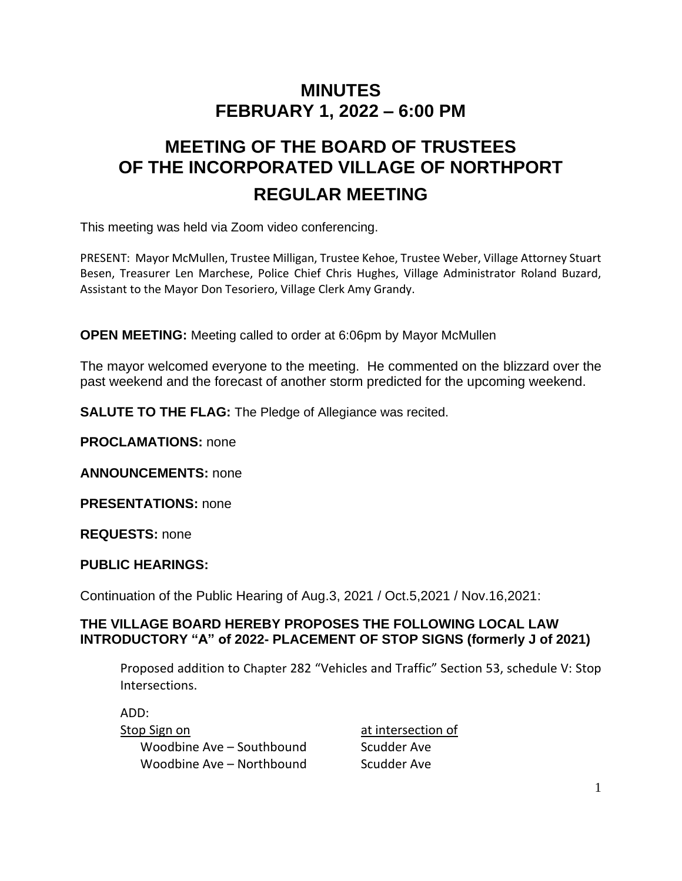## **MINUTES FEBRUARY 1, 2022 – 6:00 PM**

# **MEETING OF THE BOARD OF TRUSTEES OF THE INCORPORATED VILLAGE OF NORTHPORT REGULAR MEETING**

This meeting was held via Zoom video conferencing.

PRESENT: Mayor McMullen, Trustee Milligan, Trustee Kehoe, Trustee Weber, Village Attorney Stuart Besen, Treasurer Len Marchese, Police Chief Chris Hughes, Village Administrator Roland Buzard, Assistant to the Mayor Don Tesoriero, Village Clerk Amy Grandy.

**OPEN MEETING:** Meeting called to order at 6:06pm by Mayor McMullen

The mayor welcomed everyone to the meeting. He commented on the blizzard over the past weekend and the forecast of another storm predicted for the upcoming weekend.

**SALUTE TO THE FLAG:** The Pledge of Allegiance was recited.

**PROCLAMATIONS:** none

**ANNOUNCEMENTS:** none

**PRESENTATIONS:** none

**REQUESTS:** none

**PUBLIC HEARINGS:**

Continuation of the Public Hearing of Aug.3, 2021 / Oct.5,2021 / Nov.16,2021:

#### **THE VILLAGE BOARD HEREBY PROPOSES THE FOLLOWING LOCAL LAW INTRODUCTORY "A" of 2022- PLACEMENT OF STOP SIGNS (formerly J of 2021)**

Proposed addition to Chapter 282 ["Vehicles and Traffic" Section](https://ecode360.com/8671214#8671214) 53, schedule V: Stop [Intersections.](https://ecode360.com/8671214#8671214)

ADD: Stop Sign on at intersection of Woodbine Ave – Southbound Scudder Ave

Woodbine Ave – Northbound Scudder Ave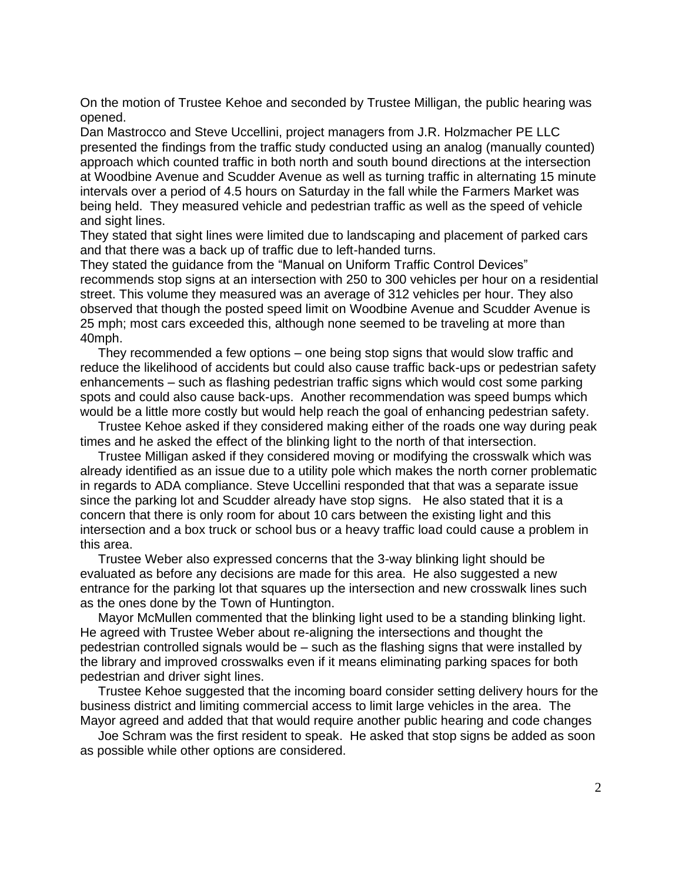On the motion of Trustee Kehoe and seconded by Trustee Milligan, the public hearing was opened.

Dan Mastrocco and Steve Uccellini, project managers from J.R. Holzmacher PE LLC presented the findings from the traffic study conducted using an analog (manually counted) approach which counted traffic in both north and south bound directions at the intersection at Woodbine Avenue and Scudder Avenue as well as turning traffic in alternating 15 minute intervals over a period of 4.5 hours on Saturday in the fall while the Farmers Market was being held. They measured vehicle and pedestrian traffic as well as the speed of vehicle and sight lines.

They stated that sight lines were limited due to landscaping and placement of parked cars and that there was a back up of traffic due to left-handed turns.

They stated the guidance from the "Manual on Uniform Traffic Control Devices" recommends stop signs at an intersection with 250 to 300 vehicles per hour on a residential street. This volume they measured was an average of 312 vehicles per hour. They also observed that though the posted speed limit on Woodbine Avenue and Scudder Avenue is 25 mph; most cars exceeded this, although none seemed to be traveling at more than 40mph.

 They recommended a few options – one being stop signs that would slow traffic and reduce the likelihood of accidents but could also cause traffic back-ups or pedestrian safety enhancements – such as flashing pedestrian traffic signs which would cost some parking spots and could also cause back-ups. Another recommendation was speed bumps which would be a little more costly but would help reach the goal of enhancing pedestrian safety.

 Trustee Kehoe asked if they considered making either of the roads one way during peak times and he asked the effect of the blinking light to the north of that intersection.

 Trustee Milligan asked if they considered moving or modifying the crosswalk which was already identified as an issue due to a utility pole which makes the north corner problematic in regards to ADA compliance. Steve Uccellini responded that that was a separate issue since the parking lot and Scudder already have stop signs. He also stated that it is a concern that there is only room for about 10 cars between the existing light and this intersection and a box truck or school bus or a heavy traffic load could cause a problem in this area.

 Trustee Weber also expressed concerns that the 3-way blinking light should be evaluated as before any decisions are made for this area. He also suggested a new entrance for the parking lot that squares up the intersection and new crosswalk lines such as the ones done by the Town of Huntington.

 Mayor McMullen commented that the blinking light used to be a standing blinking light. He agreed with Trustee Weber about re-aligning the intersections and thought the pedestrian controlled signals would be – such as the flashing signs that were installed by the library and improved crosswalks even if it means eliminating parking spaces for both pedestrian and driver sight lines.

 Trustee Kehoe suggested that the incoming board consider setting delivery hours for the business district and limiting commercial access to limit large vehicles in the area. The Mayor agreed and added that that would require another public hearing and code changes

 Joe Schram was the first resident to speak. He asked that stop signs be added as soon as possible while other options are considered.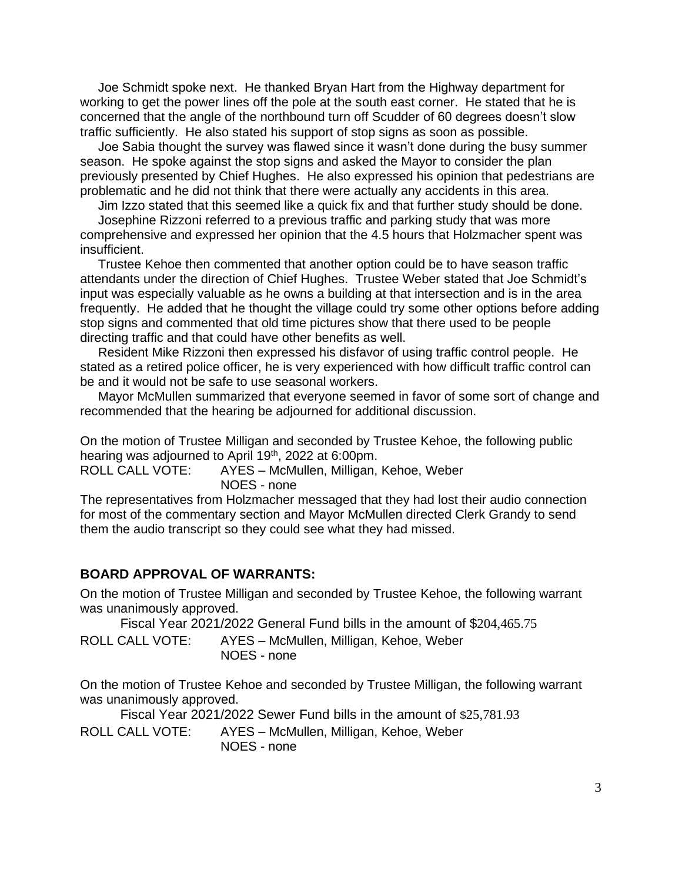Joe Schmidt spoke next. He thanked Bryan Hart from the Highway department for working to get the power lines off the pole at the south east corner. He stated that he is concerned that the angle of the northbound turn off Scudder of 60 degrees doesn't slow traffic sufficiently. He also stated his support of stop signs as soon as possible.

 Joe Sabia thought the survey was flawed since it wasn't done during the busy summer season. He spoke against the stop signs and asked the Mayor to consider the plan previously presented by Chief Hughes. He also expressed his opinion that pedestrians are problematic and he did not think that there were actually any accidents in this area.

Jim Izzo stated that this seemed like a quick fix and that further study should be done.

 Josephine Rizzoni referred to a previous traffic and parking study that was more comprehensive and expressed her opinion that the 4.5 hours that Holzmacher spent was insufficient.

 Trustee Kehoe then commented that another option could be to have season traffic attendants under the direction of Chief Hughes. Trustee Weber stated that Joe Schmidt's input was especially valuable as he owns a building at that intersection and is in the area frequently. He added that he thought the village could try some other options before adding stop signs and commented that old time pictures show that there used to be people directing traffic and that could have other benefits as well.

 Resident Mike Rizzoni then expressed his disfavor of using traffic control people. He stated as a retired police officer, he is very experienced with how difficult traffic control can be and it would not be safe to use seasonal workers.

 Mayor McMullen summarized that everyone seemed in favor of some sort of change and recommended that the hearing be adjourned for additional discussion.

On the motion of Trustee Milligan and seconded by Trustee Kehoe, the following public hearing was adjourned to April 19<sup>th</sup>, 2022 at 6:00pm.

ROLL CALL VOTE: AYES – McMullen, Milligan, Kehoe, Weber NOES - none

The representatives from Holzmacher messaged that they had lost their audio connection for most of the commentary section and Mayor McMullen directed Clerk Grandy to send them the audio transcript so they could see what they had missed.

#### **BOARD APPROVAL OF WARRANTS:**

On the motion of Trustee Milligan and seconded by Trustee Kehoe, the following warrant was unanimously approved.

Fiscal Year 2021/2022 General Fund bills in the amount of \$204,465.75

ROLL CALL VOTE: AYES – McMullen, Milligan, Kehoe, Weber NOES - none

On the motion of Trustee Kehoe and seconded by Trustee Milligan, the following warrant was unanimously approved.

Fiscal Year 2021/2022 Sewer Fund bills in the amount of \$25,781.93

ROLL CALL VOTE: AYES – McMullen, Milligan, Kehoe, Weber NOES - none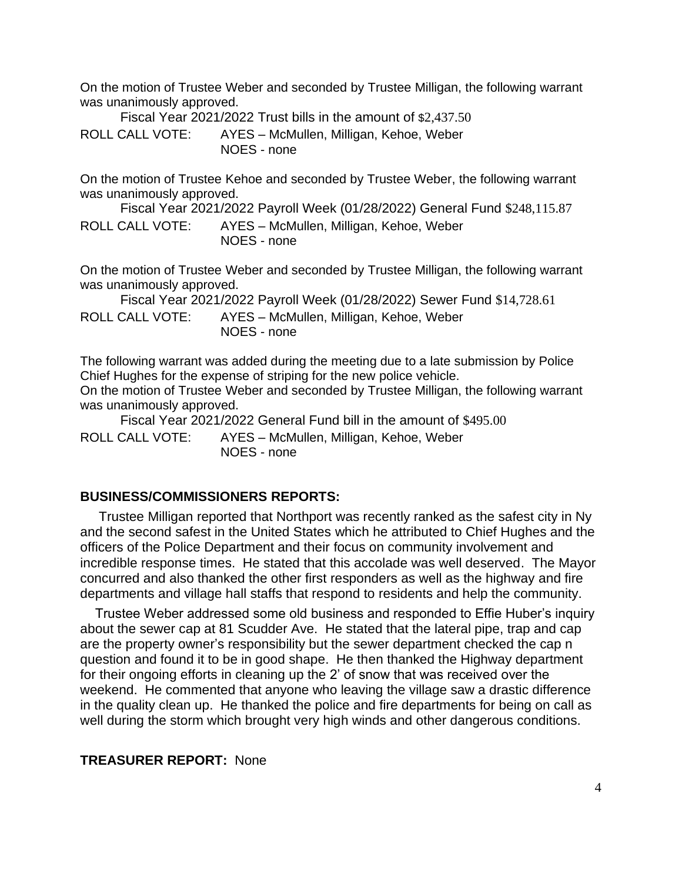On the motion of Trustee Weber and seconded by Trustee Milligan, the following warrant was unanimously approved.

Fiscal Year 2021/2022 Trust bills in the amount of \$2,437.50 ROLL CALL VOTE: AYES – McMullen, Milligan, Kehoe, Weber NOES - none

On the motion of Trustee Kehoe and seconded by Trustee Weber, the following warrant was unanimously approved.

Fiscal Year 2021/2022 Payroll Week (01/28/2022) General Fund \$248,115.87 ROLL CALL VOTE: AYES – McMullen, Milligan, Kehoe, Weber NOES - none

On the motion of Trustee Weber and seconded by Trustee Milligan, the following warrant was unanimously approved.

Fiscal Year 2021/2022 Payroll Week (01/28/2022) Sewer Fund \$14,728.61 ROLL CALL VOTE: AYES – McMullen, Milligan, Kehoe, Weber NOES - none

The following warrant was added during the meeting due to a late submission by Police Chief Hughes for the expense of striping for the new police vehicle.

On the motion of Trustee Weber and seconded by Trustee Milligan, the following warrant was unanimously approved.

Fiscal Year 2021/2022 General Fund bill in the amount of \$495.00 ROLL CALL VOTE: AYES – McMullen, Milligan, Kehoe, Weber NOES - none

#### **BUSINESS/COMMISSIONERS REPORTS:**

Trustee Milligan reported that Northport was recently ranked as the safest city in Ny and the second safest in the United States which he attributed to Chief Hughes and the officers of the Police Department and their focus on community involvement and incredible response times. He stated that this accolade was well deserved. The Mayor concurred and also thanked the other first responders as well as the highway and fire departments and village hall staffs that respond to residents and help the community.

 Trustee Weber addressed some old business and responded to Effie Huber's inquiry about the sewer cap at 81 Scudder Ave. He stated that the lateral pipe, trap and cap are the property owner's responsibility but the sewer department checked the cap n question and found it to be in good shape. He then thanked the Highway department for their ongoing efforts in cleaning up the 2' of snow that was received over the weekend. He commented that anyone who leaving the village saw a drastic difference in the quality clean up. He thanked the police and fire departments for being on call as well during the storm which brought very high winds and other dangerous conditions.

#### **TREASURER REPORT:** None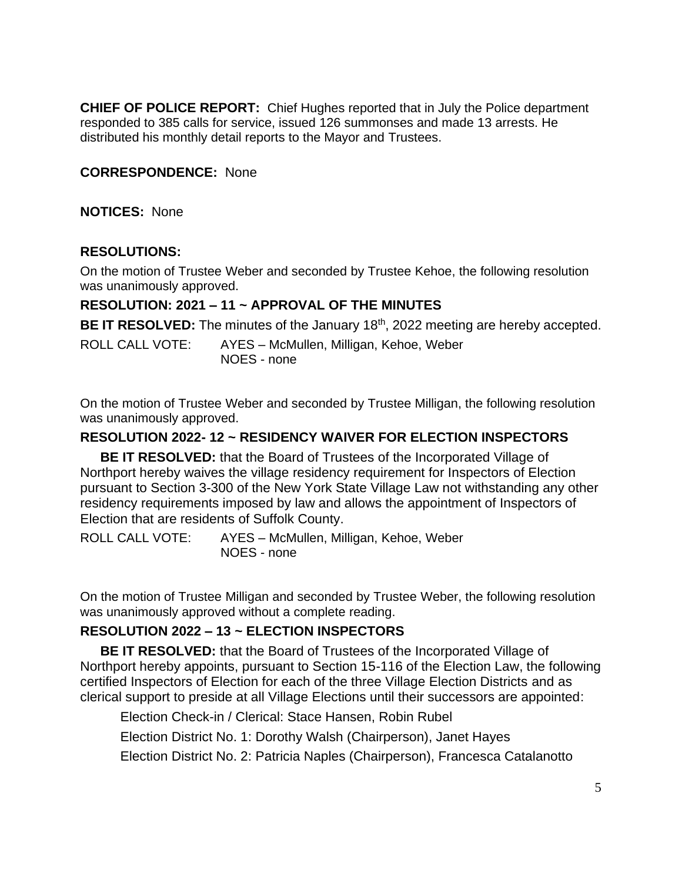**CHIEF OF POLICE REPORT:** Chief Hughes reported that in July the Police department responded to 385 calls for service, issued 126 summonses and made 13 arrests. He distributed his monthly detail reports to the Mayor and Trustees.

#### **CORRESPONDENCE:** None

**NOTICES:** None

#### **RESOLUTIONS:**

On the motion of Trustee Weber and seconded by Trustee Kehoe, the following resolution was unanimously approved.

#### **RESOLUTION: 2021 – 11 ~ APPROVAL OF THE MINUTES**

BE IT RESOLVED: The minutes of the January 18<sup>th</sup>, 2022 meeting are hereby accepted.

ROLL CALL VOTE: AYES – McMullen, Milligan, Kehoe, Weber NOES - none

On the motion of Trustee Weber and seconded by Trustee Milligan, the following resolution was unanimously approved.

#### **RESOLUTION 2022- 12 ~ RESIDENCY WAIVER FOR ELECTION INSPECTORS**

**BE IT RESOLVED:** that the Board of Trustees of the Incorporated Village of Northport hereby waives the village residency requirement for Inspectors of Election pursuant to Section 3-300 of the New York State Village Law not withstanding any other residency requirements imposed by law and allows the appointment of Inspectors of Election that are residents of Suffolk County.

ROLL CALL VOTE: AYES – McMullen, Milligan, Kehoe, Weber NOES - none

On the motion of Trustee Milligan and seconded by Trustee Weber, the following resolution was unanimously approved without a complete reading.

#### **RESOLUTION 2022 – 13 ~ ELECTION INSPECTORS**

**BE IT RESOLVED:** that the Board of Trustees of the Incorporated Village of Northport hereby appoints, pursuant to Section 15-116 of the Election Law, the following certified Inspectors of Election for each of the three Village Election Districts and as clerical support to preside at all Village Elections until their successors are appointed:

Election Check-in / Clerical: Stace Hansen, Robin Rubel

Election District No. 1: Dorothy Walsh (Chairperson), Janet Hayes

Election District No. 2: Patricia Naples (Chairperson), Francesca Catalanotto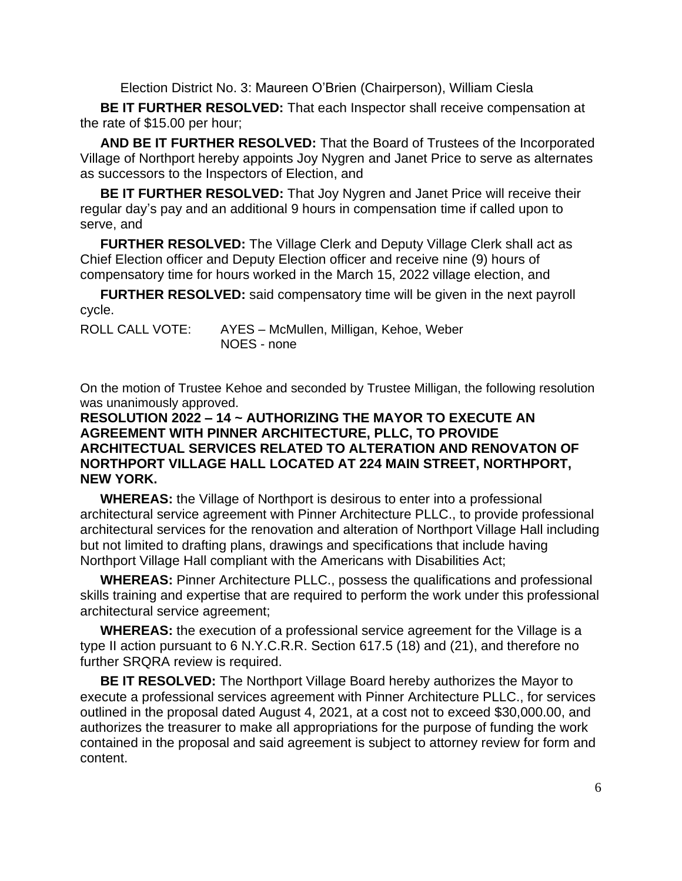Election District No. 3: Maureen O'Brien (Chairperson), William Ciesla

**BE IT FURTHER RESOLVED:** That each Inspector shall receive compensation at the rate of \$15.00 per hour;

**AND BE IT FURTHER RESOLVED:** That the Board of Trustees of the Incorporated Village of Northport hereby appoints Joy Nygren and Janet Price to serve as alternates as successors to the Inspectors of Election, and

**BE IT FURTHER RESOLVED:** That Joy Nygren and Janet Price will receive their regular day's pay and an additional 9 hours in compensation time if called upon to serve, and

**FURTHER RESOLVED:** The Village Clerk and Deputy Village Clerk shall act as Chief Election officer and Deputy Election officer and receive nine (9) hours of compensatory time for hours worked in the March 15, 2022 village election, and

**FURTHER RESOLVED:** said compensatory time will be given in the next payroll cycle.

| <b>ROLL CALL VOTE:</b> | AYES - McMullen, Milligan, Kehoe, Weber |
|------------------------|-----------------------------------------|
|                        | NOES - none                             |

On the motion of Trustee Kehoe and seconded by Trustee Milligan, the following resolution was unanimously approved.

#### **RESOLUTION 2022 – 14 ~ AUTHORIZING THE MAYOR TO EXECUTE AN AGREEMENT WITH PINNER ARCHITECTURE, PLLC, TO PROVIDE ARCHITECTUAL SERVICES RELATED TO ALTERATION AND RENOVATON OF NORTHPORT VILLAGE HALL LOCATED AT 224 MAIN STREET, NORTHPORT, NEW YORK.**

**WHEREAS:** the Village of Northport is desirous to enter into a professional architectural service agreement with Pinner Architecture PLLC., to provide professional architectural services for the renovation and alteration of Northport Village Hall including but not limited to drafting plans, drawings and specifications that include having Northport Village Hall compliant with the Americans with Disabilities Act;

**WHEREAS:** Pinner Architecture PLLC., possess the qualifications and professional skills training and expertise that are required to perform the work under this professional architectural service agreement;

**WHEREAS:** the execution of a professional service agreement for the Village is a type II action pursuant to 6 N.Y.C.R.R. Section 617.5 (18) and (21), and therefore no further SRQRA review is required.

**BE IT RESOLVED:** The Northport Village Board hereby authorizes the Mayor to execute a professional services agreement with Pinner Architecture PLLC., for services outlined in the proposal dated August 4, 2021, at a cost not to exceed \$30,000.00, and authorizes the treasurer to make all appropriations for the purpose of funding the work contained in the proposal and said agreement is subject to attorney review for form and content.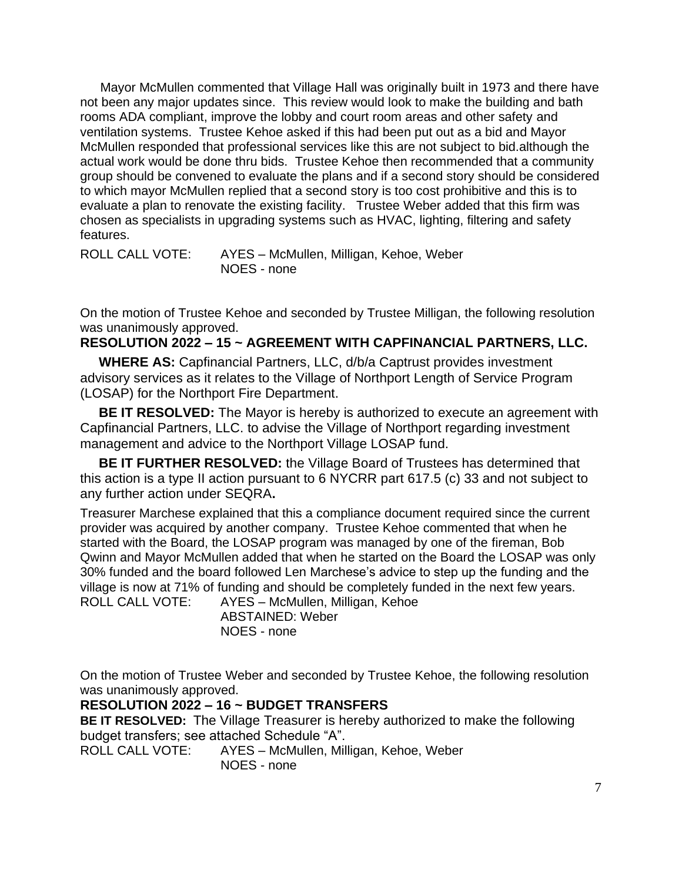Mayor McMullen commented that Village Hall was originally built in 1973 and there have not been any major updates since. This review would look to make the building and bath rooms ADA compliant, improve the lobby and court room areas and other safety and ventilation systems. Trustee Kehoe asked if this had been put out as a bid and Mayor McMullen responded that professional services like this are not subject to bid.although the actual work would be done thru bids. Trustee Kehoe then recommended that a community group should be convened to evaluate the plans and if a second story should be considered to which mayor McMullen replied that a second story is too cost prohibitive and this is to evaluate a plan to renovate the existing facility. Trustee Weber added that this firm was chosen as specialists in upgrading systems such as HVAC, lighting, filtering and safety features.

ROLL CALL VOTE: AYES – McMullen, Milligan, Kehoe, Weber NOES - none

On the motion of Trustee Kehoe and seconded by Trustee Milligan, the following resolution was unanimously approved.

#### **RESOLUTION 2022 – 15 ~ AGREEMENT WITH CAPFINANCIAL PARTNERS, LLC.**

 **WHERE AS:** Capfinancial Partners, LLC, d/b/a Captrust provides investment advisory services as it relates to the Village of Northport Length of Service Program (LOSAP) for the Northport Fire Department.

**BE IT RESOLVED:** The Mayor is hereby is authorized to execute an agreement with Capfinancial Partners, LLC. to advise the Village of Northport regarding investment management and advice to the Northport Village LOSAP fund.

 **BE IT FURTHER RESOLVED:** the Village Board of Trustees has determined that this action is a type II action pursuant to 6 NYCRR part 617.5 (c) 33 and not subject to any further action under SEQRA**.**

Treasurer Marchese explained that this a compliance document required since the current provider was acquired by another company. Trustee Kehoe commented that when he started with the Board, the LOSAP program was managed by one of the fireman, Bob Qwinn and Mayor McMullen added that when he started on the Board the LOSAP was only 30% funded and the board followed Len Marchese's advice to step up the funding and the village is now at 71% of funding and should be completely funded in the next few years. ROLL CALL VOTE: AYES – McMullen, Milligan, Kehoe

ABSTAINED: Weber NOES - none

On the motion of Trustee Weber and seconded by Trustee Kehoe, the following resolution was unanimously approved.

#### **RESOLUTION 2022 – 16 ~ BUDGET TRANSFERS**

**BE IT RESOLVED:** The Village Treasurer is hereby authorized to make the following budget transfers; see attached Schedule "A".

ROLL CALL VOTE: AYES – McMullen, Milligan, Kehoe, Weber NOES - none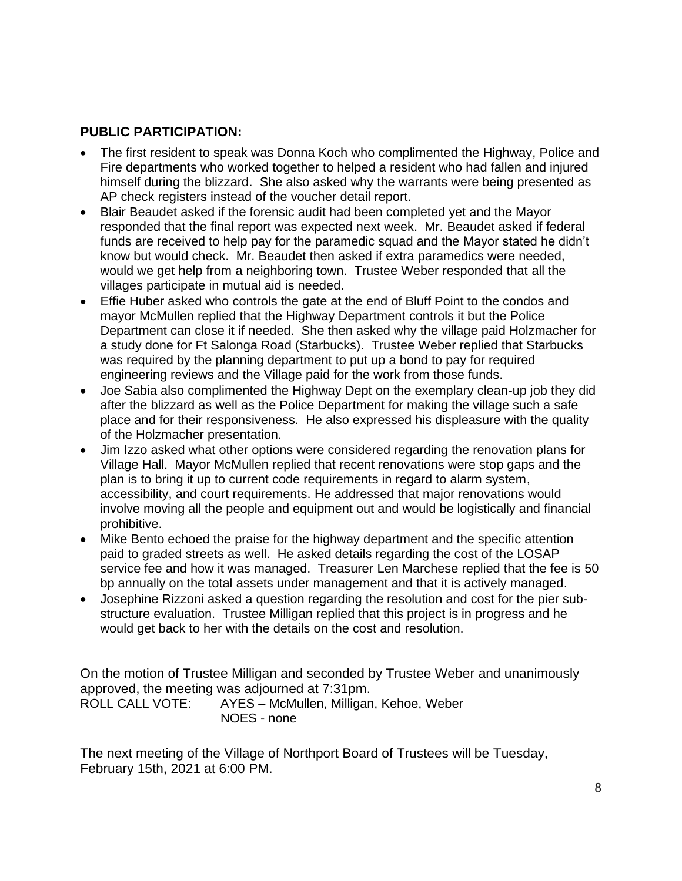#### **PUBLIC PARTICIPATION:**

- The first resident to speak was Donna Koch who complimented the Highway, Police and Fire departments who worked together to helped a resident who had fallen and injured himself during the blizzard. She also asked why the warrants were being presented as AP check registers instead of the voucher detail report.
- Blair Beaudet asked if the forensic audit had been completed yet and the Mayor responded that the final report was expected next week. Mr. Beaudet asked if federal funds are received to help pay for the paramedic squad and the Mayor stated he didn't know but would check. Mr. Beaudet then asked if extra paramedics were needed, would we get help from a neighboring town. Trustee Weber responded that all the villages participate in mutual aid is needed.
- Effie Huber asked who controls the gate at the end of Bluff Point to the condos and mayor McMullen replied that the Highway Department controls it but the Police Department can close it if needed. She then asked why the village paid Holzmacher for a study done for Ft Salonga Road (Starbucks). Trustee Weber replied that Starbucks was required by the planning department to put up a bond to pay for required engineering reviews and the Village paid for the work from those funds.
- Joe Sabia also complimented the Highway Dept on the exemplary clean-up job they did after the blizzard as well as the Police Department for making the village such a safe place and for their responsiveness. He also expressed his displeasure with the quality of the Holzmacher presentation.
- Jim Izzo asked what other options were considered regarding the renovation plans for Village Hall. Mayor McMullen replied that recent renovations were stop gaps and the plan is to bring it up to current code requirements in regard to alarm system, accessibility, and court requirements. He addressed that major renovations would involve moving all the people and equipment out and would be logistically and financial prohibitive.
- Mike Bento echoed the praise for the highway department and the specific attention paid to graded streets as well. He asked details regarding the cost of the LOSAP service fee and how it was managed. Treasurer Len Marchese replied that the fee is 50 bp annually on the total assets under management and that it is actively managed.
- Josephine Rizzoni asked a question regarding the resolution and cost for the pier substructure evaluation. Trustee Milligan replied that this project is in progress and he would get back to her with the details on the cost and resolution.

On the motion of Trustee Milligan and seconded by Trustee Weber and unanimously approved, the meeting was adjourned at 7:31pm. ROLL CALL VOTE: AYES – McMullen, Milligan, Kehoe, Weber NOES - none

The next meeting of the Village of Northport Board of Trustees will be Tuesday, February 15th, 2021 at 6:00 PM.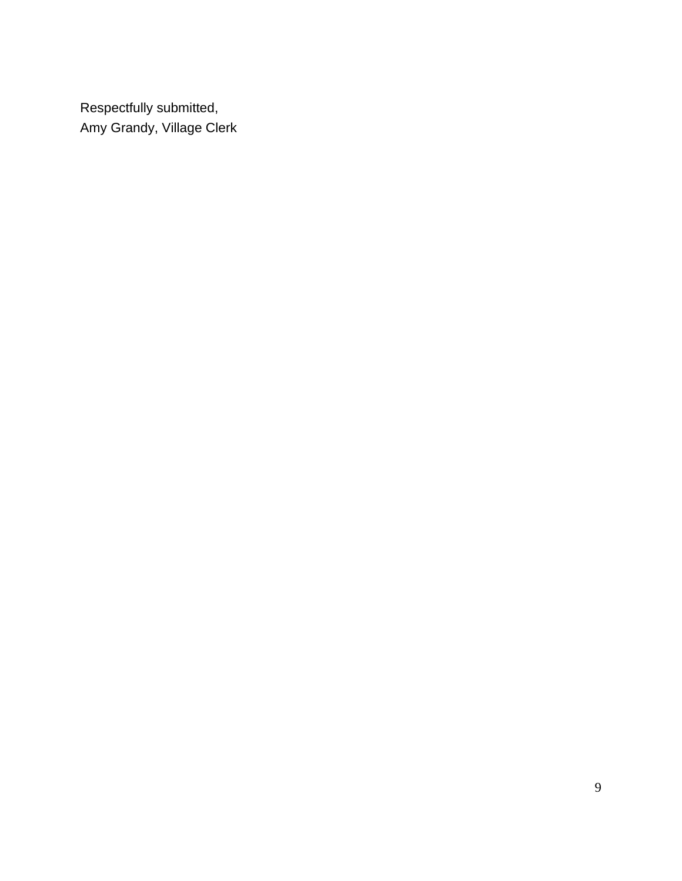Respectfully submitted, Amy Grandy, Village Clerk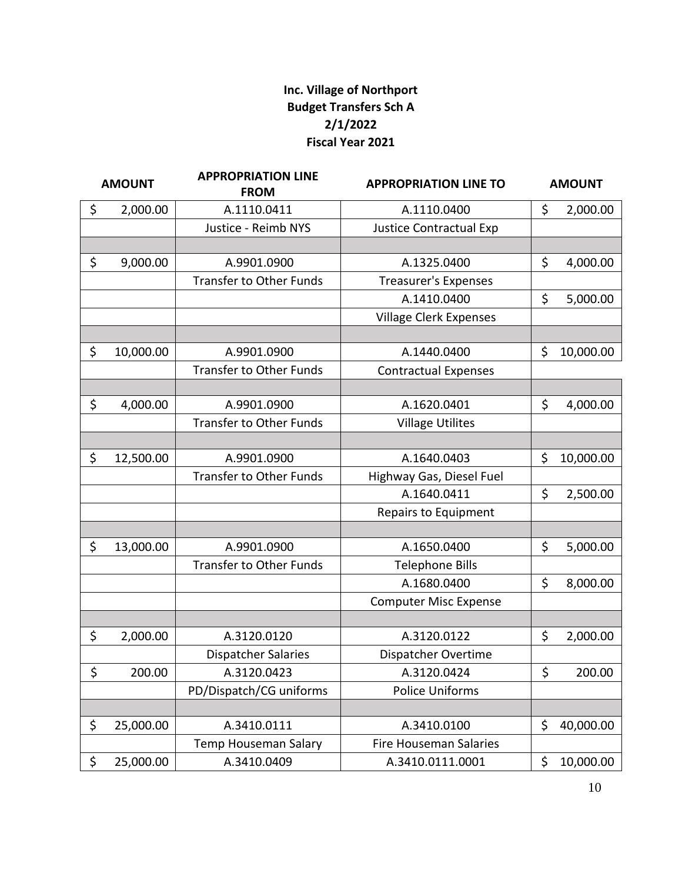### **Inc. Village of Northport Budget Transfers Sch A 2/1/2022 Fiscal Year 2021**

| <b>AMOUNT</b> |           | <b>APPROPRIATION LINE</b><br><b>FROM</b> | <b>APPROPRIATION LINE TO</b>   |    | <b>AMOUNT</b> |  |
|---------------|-----------|------------------------------------------|--------------------------------|----|---------------|--|
| \$            | 2,000.00  | A.1110.0411                              | A.1110.0400                    | \$ | 2,000.00      |  |
|               |           | Justice - Reimb NYS                      | <b>Justice Contractual Exp</b> |    |               |  |
|               |           |                                          |                                |    |               |  |
| \$            | 9,000.00  | A.9901.0900                              | A.1325.0400                    | \$ | 4,000.00      |  |
|               |           | <b>Transfer to Other Funds</b>           | <b>Treasurer's Expenses</b>    |    |               |  |
|               |           |                                          | A.1410.0400                    | \$ | 5,000.00      |  |
|               |           |                                          | Village Clerk Expenses         |    |               |  |
|               |           |                                          |                                |    |               |  |
| \$            | 10,000.00 | A.9901.0900                              | A.1440.0400                    | \$ | 10,000.00     |  |
|               |           | <b>Transfer to Other Funds</b>           | <b>Contractual Expenses</b>    |    |               |  |
|               |           |                                          |                                |    |               |  |
| \$            | 4,000.00  | A.9901.0900                              | A.1620.0401                    | \$ | 4,000.00      |  |
|               |           | <b>Transfer to Other Funds</b>           | <b>Village Utilites</b>        |    |               |  |
|               |           |                                          |                                |    |               |  |
| \$            | 12,500.00 | A.9901.0900                              | A.1640.0403                    | \$ | 10,000.00     |  |
|               |           | <b>Transfer to Other Funds</b>           | Highway Gas, Diesel Fuel       |    |               |  |
|               |           |                                          | A.1640.0411                    | \$ | 2,500.00      |  |
|               |           |                                          | Repairs to Equipment           |    |               |  |
|               |           |                                          |                                |    |               |  |
| \$            | 13,000.00 | A.9901.0900                              | A.1650.0400                    | \$ | 5,000.00      |  |
|               |           | <b>Transfer to Other Funds</b>           | <b>Telephone Bills</b>         |    |               |  |
|               |           |                                          | A.1680.0400                    | \$ | 8,000.00      |  |
|               |           |                                          | <b>Computer Misc Expense</b>   |    |               |  |
|               |           |                                          |                                |    |               |  |
| \$            | 2,000.00  | A.3120.0120                              | A.3120.0122                    | \$ | 2,000.00      |  |
|               |           | <b>Dispatcher Salaries</b>               | Dispatcher Overtime            |    |               |  |
| \$            | 200.00    | A.3120.0423                              | A.3120.0424                    | Ş  | 200.00        |  |
|               |           | PD/Dispatch/CG uniforms                  | <b>Police Uniforms</b>         |    |               |  |
|               |           |                                          |                                |    |               |  |
| \$            | 25,000.00 | A.3410.0111                              | A.3410.0100                    | \$ | 40,000.00     |  |
|               |           | Temp Houseman Salary                     | <b>Fire Houseman Salaries</b>  |    |               |  |
| \$            | 25,000.00 | A.3410.0409                              | A.3410.0111.0001               | \$ | 10,000.00     |  |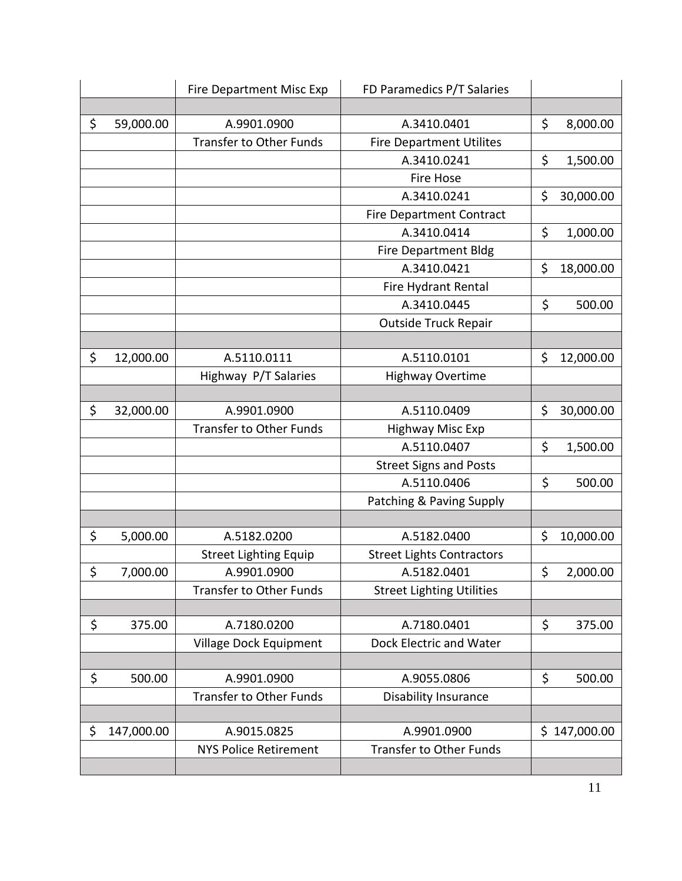|                  | Fire Department Misc Exp       | FD Paramedics P/T Salaries       |                 |
|------------------|--------------------------------|----------------------------------|-----------------|
|                  |                                |                                  |                 |
| \$<br>59,000.00  | A.9901.0900                    | A.3410.0401                      | \$<br>8,000.00  |
|                  | <b>Transfer to Other Funds</b> | <b>Fire Department Utilites</b>  |                 |
|                  |                                | A.3410.0241                      | \$<br>1,500.00  |
|                  |                                | Fire Hose                        |                 |
|                  |                                | A.3410.0241                      | \$<br>30,000.00 |
|                  |                                | <b>Fire Department Contract</b>  |                 |
|                  |                                | A.3410.0414                      | \$<br>1,000.00  |
|                  |                                | Fire Department Bldg             |                 |
|                  |                                | A.3410.0421                      | \$<br>18,000.00 |
|                  |                                | Fire Hydrant Rental              |                 |
|                  |                                | A.3410.0445                      | \$<br>500.00    |
|                  |                                | <b>Outside Truck Repair</b>      |                 |
|                  |                                |                                  |                 |
| \$<br>12,000.00  | A.5110.0111                    | A.5110.0101                      | \$<br>12,000.00 |
|                  | Highway P/T Salaries           | <b>Highway Overtime</b>          |                 |
|                  |                                |                                  |                 |
| \$<br>32,000.00  | A.9901.0900                    | A.5110.0409                      | \$<br>30,000.00 |
|                  | <b>Transfer to Other Funds</b> | <b>Highway Misc Exp</b>          |                 |
|                  |                                | A.5110.0407                      | \$<br>1,500.00  |
|                  |                                | <b>Street Signs and Posts</b>    |                 |
|                  |                                | A.5110.0406                      | \$<br>500.00    |
|                  |                                | Patching & Paving Supply         |                 |
|                  |                                |                                  |                 |
| \$<br>5,000.00   | A.5182.0200                    | A.5182.0400                      | \$<br>10,000.00 |
|                  | <b>Street Lighting Equip</b>   | <b>Street Lights Contractors</b> |                 |
| \$<br>7,000.00   | A.9901.0900                    | A.5182.0401                      | \$<br>2,000.00  |
|                  | <b>Transfer to Other Funds</b> | <b>Street Lighting Utilities</b> |                 |
|                  |                                |                                  |                 |
| \$<br>375.00     | A.7180.0200                    | A.7180.0401                      | \$<br>375.00    |
|                  | Village Dock Equipment         | Dock Electric and Water          |                 |
|                  |                                |                                  |                 |
| \$<br>500.00     | A.9901.0900                    | A.9055.0806                      | \$<br>500.00    |
|                  | <b>Transfer to Other Funds</b> | <b>Disability Insurance</b>      |                 |
|                  |                                |                                  |                 |
| \$<br>147,000.00 | A.9015.0825                    | A.9901.0900                      | \$147,000.00    |
|                  | <b>NYS Police Retirement</b>   | <b>Transfer to Other Funds</b>   |                 |
|                  |                                |                                  |                 |